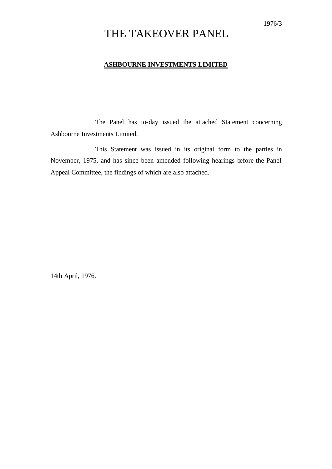# THE TAKEOVER PANEL

## **ASHBOURNE INVESTMENTS LIMITED**

The Panel has to-day issued the attached Statement concerning Ashbourne Investments Limited.

This Statement was issued in its original form to the parties in November, 1975, and has since been amended following hearings before the Panel Appeal Committee, the findings of which are also attached.

14th April, 1976.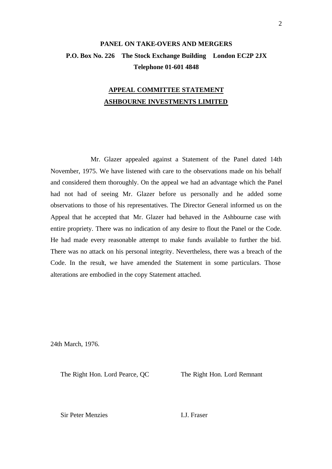# **PANEL ON TAKE-OVERS AND MERGERS P.O. Box No. 226 The Stock Exchange Building London EC2P 2JX Telephone 01-601 4848**

# **APPEAL COMMITTEE STATEMENT ASHBOURNE INVESTMENTS LIMITED**

Mr. Glazer appealed against a Statement of the Panel dated 14th November, 1975. We have listened with care to the observations made on his behalf and considered them thoroughly. On the appeal we had an advantage which the Panel had not had of seeing Mr. Glazer before us personally and he added some observations to those of his representatives. The Director General informed us on the Appeal that he accepted that Mr. Glazer had behaved in the Ashbourne case with entire propriety. There was no indication of any desire to flout the Panel or the Code. He had made every reasonable attempt to make funds available to further the bid. There was no attack on his personal integrity. Nevertheless, there was a breach of the Code. In the result, we have amended the Statement in some particulars. Those alterations are embodied in the copy Statement attached.

24th March, 1976.

The Right Hon. Lord Pearce, QC The Right Hon. Lord Remnant

Sir Peter Menzies I.J. Fraser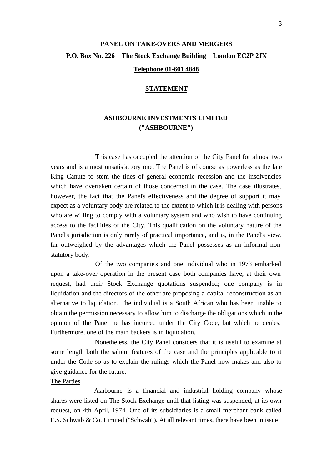# **PANEL ON TAKE-OVERS AND MERGERS P.O. Box No. 226 The Stock Exchange Building London EC2P 2JX**

### **Telephone 01-601 4848**

#### **STATEMENT**

# **ASHBOURNE INVESTMENTS LIMITED ("ASHBOURNE")**

This case has occupied the attention of the City Panel for almost two years and is a most unsatisfactory one. The Panel is of course as powerless as the late King Canute to stem the tides of general economic recession and the insolvencies which have overtaken certain of those concerned in the case. The case illustrates, however, the fact that the Panel's effectiveness and the degree of support it may expect as a voluntary body are related to the extent to which it is dealing with persons who are willing to comply with a voluntary system and who wish to have continuing access to the facilities of the City. This qualification on the voluntary nature of the Panel's jurisdiction is only rarely of practical importance, and is, in the Panel's view, far outweighed by the advantages which the Panel possesses as an informal nonstatutory body.

Of the two companie s and one individual who in 1973 embarked upon a take-over operation in the present case both companies have, at their own request, had their Stock Exchange quotations suspended; one company is in liquidation and the directors of the other are proposing a capital reconstruction as an alternative to liquidation. The individual is a South African who has been unable to obtain the permission necessary to allow him to discharge the obligations which in the opinion of the Panel he has incurred under the City Code, but which he denies. Furthermore, one of the main backers is in liquidation.

Nonetheless, the City Panel considers that it is useful to examine at some length both the salient features of the case and the principles applicable to it under the Code so as to explain the rulings which the Panel now makes and also to give guidance for the future.

#### The Parties

Ashbourne is a financial and industrial holding company whose shares were listed on The Stock Exchange until that listing was suspended, at its own request, on 4th April, 1974. One of its subsidiaries is a small merchant bank called E.S. Schwab & Co. Limited ("Schwab"). At all relevant times, there have been in issue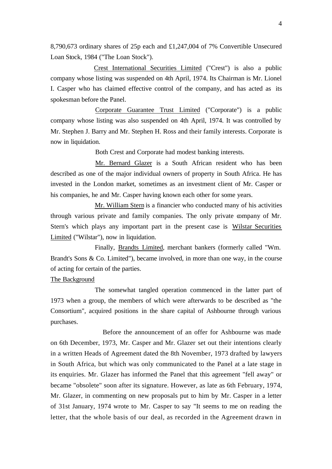8,790,673 ordinary shares of 25p each and £1,247,004 of 7% Convertible Unsecured Loan Stock, 1984 ("The Loan Stock").

Crest International Securities Limited ("Crest") is also a public company whose listing was suspended on 4th April, 1974. Its Chairman is Mr. Lionel I. Casper who has claimed effective control of the company, and has acted as its spokesman before the Panel.

Corporate Guarantee Trust Limited ("Corporate") is a public company whose listing was also suspended on 4th April, 1974. It was controlled by Mr. Stephen J. Barry and Mr. Stephen H. Ross and their family interests. Corporate is now in liquidation.

Both Crest and Corporate had modest banking interests.

Mr. Bernard Glazer is a South African resident who has been described as one of the major individual owners of property in South Africa. He has invested in the London market, sometimes as an investment client of Mr. Casper or his companies, he and Mr. Casper having known each other for some years.

Mr. William Stern is a financier who conducted many of his activities through various private and family companies. The only private company of Mr. Stern's which plays any important part in the present case is Wilstar Securities Limited ("Wilstar"), now in liquidation.

Finally, Brandts Limited, merchant bankers (formerly called "Wm. Brandt's Sons & Co. Limited"), became involved, in more than one way, in the course of acting for certain of the parties.

#### The Background

The somewhat tangled operation commenced in the latter part of 1973 when a group, the members of which were afterwards to be described as "the Consortium", acquired positions in the share capital of Ashbourne through various purchases.

Before the announcement of an offer for Ashbourne was made on 6th December, 1973, Mr. Casper and Mr. Glazer set out their intentions clearly in a written Heads of Agreement dated the 8th November, 1973 drafted by lawyers in South Africa, but which was only communicated to the Panel at a late stage in its enquiries. Mr. Glazer has informed the Panel that this agreement "fell away" or became "obsolete" soon after its signature. However, as late as 6th February, 1974, Mr. Glazer, in commenting on new proposals put to him by Mr. Casper in a letter of 31st January, 1974 wrote to Mr. Casper to say "It seems to me on reading the letter, that the whole basis of our deal, as recorded in the Agreement drawn in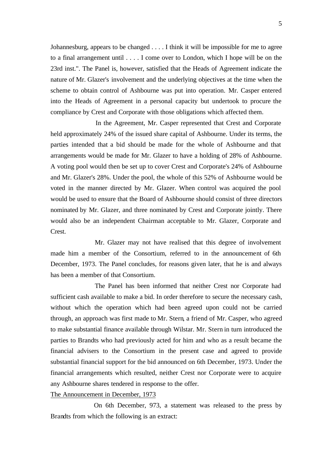Johannesburg, appears to be changed . . . . I think it will be impossible for me to agree to a final arrangement until . . . . I come over to London, which I hope will be on the 23rd inst.". The Panel is, however, satisfied that the Heads of Agreement indicate the nature of Mr. Glazer's involvement and the underlying objectives at the time when the scheme to obtain control of Ashbourne was put into operation. Mr. Casper entered into the Heads of Agreement in a personal capacity but undertook to procure the compliance by Crest and Corporate with those obligations which affected them.

In the Agreement, Mr. Casper represented that Crest and Corporate held approximately 24% of the issued share capital of Ashbourne. Under its terms, the parties intended that a bid should be made for the whole of Ashbourne and that arrangements would be made for Mr. Glazer to have a holding of 28% of Ashbourne. A voting pool would then be set up to cover Crest and Corporate's 24% of Ashbourne and Mr. Glazer's 28%. Under the pool, the whole of this 52% of Ashbourne would be voted in the manner directed by Mr. Glazer. When control was acquired the pool would be used to ensure that the Board of Ashbourne should consist of three directors nominated by Mr. Glazer, and three nominated by Crest and Corporate jointly. There would also be an independent Chairman acceptable to Mr. Glazer, Corporate and Crest.

Mr. Glazer may not have realised that this degree of involvement made him a member of the Consortium, referred to in the announcement of 6th December, 1973. The Panel concludes, for reasons given later, that he is and always has been a member of that Consortium.

The Panel has been informed that neither Crest nor Corporate had sufficient cash available to make a bid. In order therefore to secure the necessary cash, without which the operation which had been agreed upon could not be carried through, an approach was first made to Mr. Stern, a friend of Mr. Casper, who agreed to make substantial finance available through Wilstar. Mr. Stern in turn introduced the parties to Brandts who had previously acted for him and who as a result became the financial advisers to the Consortium in the present case and agreed to provide substantial financial support for the bid announced on 6th December, 1973. Under the financial arrangements which resulted, neither Crest nor Corporate were to acquire any Ashbourne shares tendered in response to the offer.

#### The Announcement in December, 1973

On 6th December, 973, a statement was released to the press by Brandts from which the following is an extract: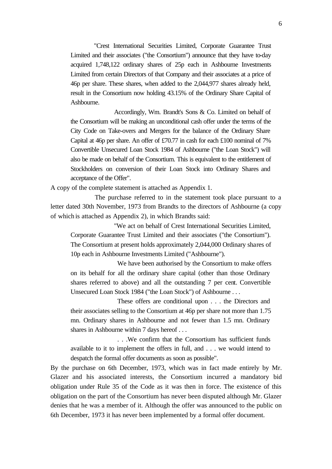"Crest International Securities Limited, Corporate Guarantee Trust Limited and their associates ("the Consortium") announce that they have to-day acquired 1,748,122 ordinary shares of 25p each in Ashbourne Investments Limited from certain Directors of that Company and their associates at a price of 46p per share. These shares, when added to the 2,044,977 shares already held, result in the Consortium now holding 43.15% of the Ordinary Share Capital of Ashbourne.

Accordingly, Wm. Brandt's Sons & Co. Limited on behalf of the Consortium will be making an unconditional cash offer under the terms of the City Code on Take-overs and Mergers for the balance of the Ordinary Share Capital at 46p per share. An offer of £70.77 in cash for each £100 nominal of 7% Convertible Unsecured Loan Stock 1984 of Ashbourne ("the Loan Stock") will also be made on behalf of the Consortium. This is equivalent to the entitlement of Stockholders on conversion of their Loan Stock into Ordinary Shares and acceptance of the Offer".

A copy of the complete statement is attached as Appendix 1.

The purchase referred to in the statement took place pursuant to a letter dated 30th November, 1973 from Brandts to the directors of Ashbourne (a copy of which is attached as Appendix 2), in which Brandts said:

"We act on behalf of Crest International Securities Limited, Corporate Guarantee Trust Limited and their associates ("the Consortium"). The Consortium at present holds approximately 2,044,000 Ordinary shares of 10p each in Ashbourne Investments Limited ("Ashbourne").

We have been authorised by the Consortium to make offers on its behalf for all the ordinary share capital (other than those Ordinary shares referred to above) and all the outstanding 7 per cent. Convertible Unsecured Loan Stock 1984 ("the Loan Stock") of Ashbourne . . .

These offers are conditional upon . . . the Directors and their associates selling to the Consortium at 46p per share not more than 1.75 mn. Ordinary shares in Ashbourne and not fewer than 1.5 mn. Ordinary shares in Ashbourne within 7 days hereof . . .

. . .We confirm that the Consortium has sufficient funds available to it to implement the offers in full, and . . . we would intend to despatch the formal offer documents as soon as possible".

By the purchase on 6th December, 1973, which was in fact made entirely by Mr. Glazer and his associated interests, the Consortium incurred a mandatory bid obligation under Rule 35 of the Code as it was then in force. The existence of this obligation on the part of the Consortium has never been disputed although Mr. Glazer denies that he was a member of it. Although the offer was announced to the public on 6th December, 1973 it has never been implemented by a formal offer document.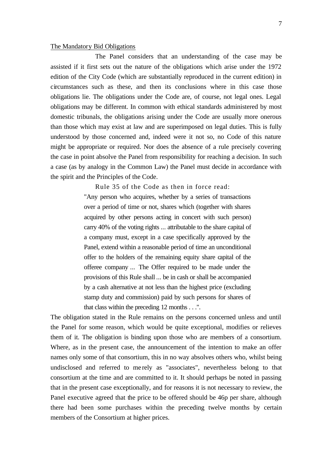#### The Mandatory Bid Obligations

The Panel considers that an understanding of the case may be assisted if it first sets out the nature of the obligations which arise under the 1972 edition of the City Code (which are substantially reproduced in the current edition) in circumstances such as these, and then its conclusions where in this case those obligations lie. The obligations under the Code are, of course, not legal ones. Legal obligations may be different. In common with ethical standards administered by most domestic tribunals, the obligations arising under the Code are usually more onerous than those which may exist at law and are superimposed on legal duties. This is fully understood by those concerned and, indeed were it not so, no Code of this nature might be appropriate or required. Nor does the absence of a rule precisely covering the case in point absolve the Panel from responsibility for reaching a decision. In such a case (as by analogy in the Common Law) the Panel must decide in accordance with the spirit and the Principles of the Code.

Rule 35 of the Code as then in force read:

"Any person who acquires, whether by a series of transactions over a period of time or not, shares which (together with shares acquired by other persons acting in concert with such person) carry 40% of the voting rights ... attributable to the share capital of a company must, except in a case specifically approved by the Panel, extend within a reasonable period of time an unconditional offer to the holders of the remaining equity share capital of the offeree company ... The Offer required to be made under the provisions of this Rule shall ... be in cash or shall be accompanied by a cash alternative at not less than the highest price (excluding stamp duty and commission) paid by such persons for shares of that class within the preceding 12 months . . .".

The obligation stated in the Rule remains on the persons concerned unless and until the Panel for some reason, which would be quite exceptional, modifies or relieves them of it. The obligation is binding upon those who are members of a consortium. Where, as in the present case, the announcement of the intention to make an offer names only some of that consortium, this in no way absolves others who, whilst being undisclosed and referred to me rely as "associates", nevertheless belong to that consortium at the time and are committed to it. It should perhaps be noted in passing that in the present case exceptionally, and for reasons it is not necessary to review, the Panel executive agreed that the price to be offered should be 46p per share, although there had been some purchases within the preceding twelve months by certain members of the Consortium at higher prices.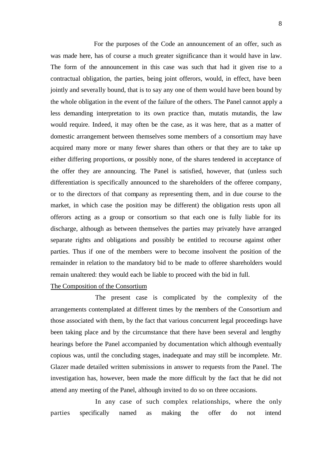For the purposes of the Code an announcement of an offer, such as was made here, has of course a much greater significance than it would have in law. The form of the announcement in this case was such that had it given rise to a contractual obligation, the parties, being joint offerors, would, in effect, have been jointly and severally bound, that is to say any one of them would have been bound by the whole obligation in the event of the failure of the others. The Panel cannot apply a less demanding interpretation to its own practice than, mutatis mutandis, the law would require. Indeed, it may often be the case, as it was here, that as a matter of domestic arrangement between themselves some members of a consortium may have acquired many more or many fewer shares than others or that they are to take up either differing proportions, or possibly none, of the shares tendered in acceptance of the offer they are announcing. The Panel is satisfied, however, that (unless such differentiation is specifically announced to the shareholders of the offeree company, or to the directors of that company as representing them, and in due course to the market, in which case the position may be different) the obligation rests upon all offerors acting as a group or consortium so that each one is fully liable for its discharge, although as between themselves the parties may privately have arranged separate rights and obligations and possibly be entitled to recourse against other parties. Thus if one of the members were to become insolvent the position of the remainder in relation to the mandatory bid to be made to offeree shareholders would remain unaltered: they would each be liable to proceed with the bid in full.

#### The Composition of the Consortium

The present case is complicated by the complexity of the arrangements contemplated at different times by the members of the Consortium and those associated with them, by the fact that various concurrent legal proceedings have been taking place and by the circumstance that there have been several and lengthy hearings before the Panel accompanied by documentation which although eventually copious was, until the concluding stages, inadequate and may still be incomplete. Mr. Glazer made detailed written submissions in answer to requests from the Panel. The investigation has, however, been made the more difficult by the fact that he did not attend any meeting of the Panel, although invited to do so on three occasions.

In any case of such complex relationships, where the only parties specifically named as making the offer do not intend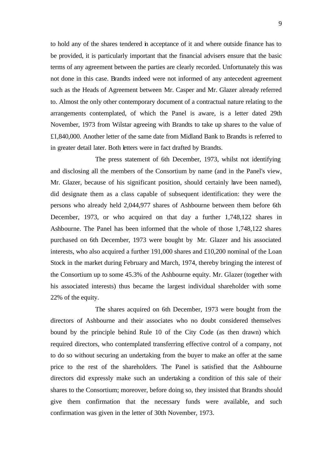to hold any of the shares tendered in acceptance of it and where outside finance has to be provided, it is particularly important that the financial advisers ensure that the basic terms of any agreement between the parties are clearly recorded. Unfortunately this was not done in this case. Brandts indeed were not informed of any antecedent agreement such as the Heads of Agreement between Mr. Casper and Mr. Glazer already referred to. Almost the only other contemporary document of a contractual nature relating to the arrangements contemplated, of which the Panel is aware, is a letter dated 29th November, 1973 from Wilstar agreeing with Brandts to take up shares to the value of £1,840,000. Another letter of the same date from Midland Bank to Brandts is referred to in greater detail later. Both letters were in fact drafted by Brandts.

The press statement of 6th December, 1973, whilst not identifying and disclosing all the members of the Consortium by name (and in the Panel's view, Mr. Glazer, because of his significant position, should certainly have been named), did designate them as a class capable of subsequent identification: they were the persons who already held 2,044,977 shares of Ashbourne between them before 6th December, 1973, or who acquired on that day a further 1,748,122 shares in Ashbourne. The Panel has been informed that the whole of those 1,748,122 shares purchased on 6th December, 1973 were bought by Mr. Glazer and his associated interests, who also acquired a further  $191,000$  shares and £10,200 nominal of the Loan Stock in the market during February and March, 1974, thereby bringing the interest of the Consortium up to some 45.3% of the Ashbourne equity. Mr. Glazer (together with his associated interests) thus became the largest individual shareholder with some 22% of the equity.

The shares acquired on 6th December, 1973 were bought from the directors of Ashbourne and their associates who no doubt considered themselves bound by the principle behind Rule 10 of the City Code (as then drawn) which required directors, who contemplated transferring effective control of a company, not to do so without securing an undertaking from the buyer to make an offer at the same price to the rest of the shareholders. The Panel is satisfied that the Ashbourne directors did expressly make such an undertaking a condition of this sale of their shares to the Consortium; moreover, before doing so, they insisted that Brandts should give them confirmation that the necessary funds were available, and such confirmation was given in the letter of 30th November, 1973.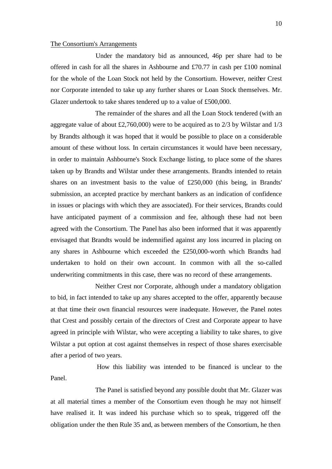#### The Consortium's Arrangements

Under the mandatory bid as announced, 46p per share had to be offered in cash for all the shares in Ashbourne and £70.77 in cash per £100 nominal for the whole of the Loan Stock not held by the Consortium. However, neither Crest nor Corporate intended to take up any further shares or Loan Stock themselves. Mr. Glazer undertook to take shares tendered up to a value of £500,000.

The remainder of the shares and all the Loan Stock tendered (with an aggregate value of about  $\text{\pounds}2,760,000$  were to be acquired as to 2/3 by Wilstar and 1/3 by Brandts although it was hoped that it would be possible to place on a considerable amount of these without loss. In certain circumstances it would have been necessary, in order to maintain Ashbourne's Stock Exchange listing, to place some of the shares taken up by Brandts and Wilstar under these arrangements. Brandts intended to retain shares on an investment basis to the value of £250,000 (this being, in Brandts' submission, an accepted practice by merchant bankers as an indication of confidence in issues or placings with which they are associated). For their services, Brandts could have anticipated payment of a commission and fee, although these had not been agreed with the Consortium. The Panel has also been informed that it was apparently envisaged that Brandts would be indemnified against any loss incurred in placing on any shares in Ashbourne which exceeded the £250,000-worth which Brandts had undertaken to hold on their own account. In common with all the so-called underwriting commitments in this case, there was no record of these arrangements.

Neither Crest nor Corporate, although under a mandatory obligation to bid, in fact intended to take up any shares accepted to the offer, apparently because at that time their own financial resources were inadequate. However, the Panel notes that Crest and possibly certain of the directors of Crest and Corporate appear to have agreed in principle with Wilstar, who were accepting a liability to take shares, to give Wilstar a put option at cost against themselves in respect of those shares exercisable after a period of two years.

 How this liability was intended to be financed is unclear to the Panel.

The Panel is satisfied beyond any possible doubt that Mr. Glazer was at all material times a member of the Consortium even though he may not himself have realised it. It was indeed his purchase which so to speak, triggered off the obligation under the then Rule 35 and, as between members of the Consortium, he then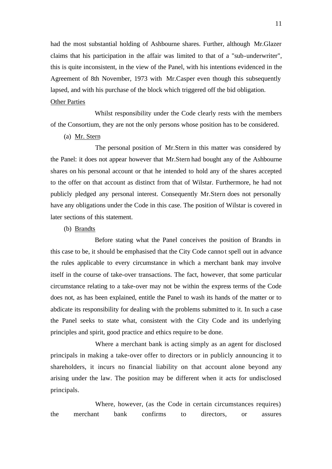had the most substantial holding of Ashbourne shares. Further, although Mr.Glazer claims that his participation in the affair was limited to that of a "sub-underwriter", this is quite inconsistent, in the view of the Panel, with his intentions evidenced in the Agreement of 8th November, 1973 with Mr.Casper even though this subsequently lapsed, and with his purchase of the block which triggered off the bid obligation.

### Other Parties

Whilst responsibility under the Code clearly rests with the members of the Consortium, they are not the only persons whose position has to be considered.

(a) Mr. Stern

The personal position of Mr.Stern in this matter was considered by the Panel: it does not appear however that Mr.Stern had bought any of the Ashbourne shares on his personal account or that he intended to hold any of the shares accepted to the offer on that account as distinct from that of Wilstar. Furthermore, he had not publicly pledged any personal interest. Consequently Mr.Stern does not personally have any obligations under the Code in this case. The position of Wilstar is covered in later sections of this statement.

(b) Brandts

Before stating what the Panel conceives the position of Brandts in this case to be, it should be emphasised that the City Code cannot spell out in advance the rules applicable to every circumstance in which a merchant bank may involve itself in the course of take-over transactions. The fact, however, that some particular circumstance relating to a take-over may not be within the express terms of the Code does not, as has been explained, entitle the Panel to wash its hands of the matter or to abdicate its responsibility for dealing with the problems submitted to it. In such a case the Panel seeks to state what, consistent with the City Code and its underlying principles and spirit, good practice and ethics require to be done.

Where a merchant bank is acting simply as an agent for disclosed principals in making a take-over offer to directors or in publicly announcing it to shareholders, it incurs no financial liability on that account alone beyond any arising under the law. The position may be different when it acts for undisclosed principals.

Where, however, (as the Code in certain circumstances requires) the merchant bank confirms to directors, or assures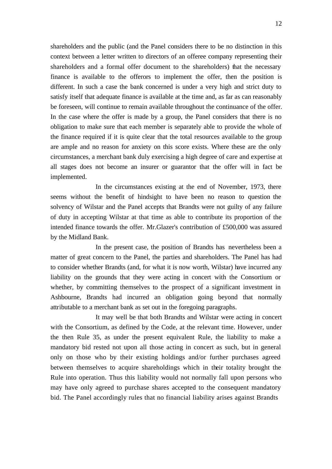shareholders and the public (and the Panel considers there to be no distinction in this context between a letter written to directors of an offeree company representing their shareholders and a formal offer document to the shareholders) that the necessary finance is available to the offerors to implement the offer, then the position is different. In such a case the bank concerned is under a very high and strict duty to satisfy itself that adequate finance is available at the time and, as far as can reasonably be foreseen, will continue to remain available throughout the continuance of the offer. In the case where the offer is made by a group, the Panel considers that there is no obligation to make sure that each member is separately able to provide the whole of the finance required if it is quite clear that the total resources available to the group are ample and no reason for anxiety on this score exists. Where these are the only circumstances, a merchant bank duly exercising a high degree of care and expertise at all stages does not become an insurer or guarantor that the offer will in fact be implemented.

In the circumstances existing at the end of November, 1973, there seems without the benefit of hindsight to have been no reason to question the solvency of Wilstar and the Panel accepts that Brandts were not guilty of any failure of duty in accepting Wilstar at that time as able to contribute its proportion of the intended finance towards the offer. Mr.Glazer's contribution of £500,000 was assured by the Midland Bank.

In the present case, the position of Brandts has nevertheless been a matter of great concern to the Panel, the parties and shareholders. The Panel has had to consider whether Brandts (and, for what it is now worth, Wilstar) have incurred any liability on the grounds that they were acting in concert with the Consortium or whether, by committing themselves to the prospect of a significant investment in Ashbourne, Brandts had incurred an obligation going beyond that normally attributable to a merchant bank as set out in the foregoing paragraphs.

It may well be that both Brandts and Wilstar were acting in concert with the Consortium, as defined by the Code, at the relevant time. However, under the then Rule 35, as under the present equivalent Rule, the liability to make a mandatory bid rested not upon all those acting in concert as such, but in general only on those who by their existing holdings and/or further purchases agreed between themselves to acquire shareholdings which in their totality brought the Rule into operation. Thus this liability would not normally fall upon persons who may have only agreed to purchase shares accepted to the consequent mandatory bid. The Panel accordingly rules that no financial liability arises against Brandts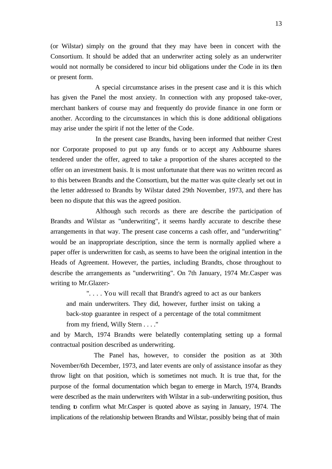(or Wilstar) simply on the ground that they may have been in concert with the Consortium. It should be added that an underwriter acting solely as an underwriter would not normally be considered to incur bid obligations under the Code in its then or present form.

A special circumstance arises in the present case and it is this which has given the Panel the most anxiety. In connection with any proposed take-over, merchant bankers of course may and frequently do provide finance in one form or another. According to the circumstances in which this is done additional obligations may arise under the spirit if not the letter of the Code.

In the present case Brandts, having been informed that neither Crest nor Corporate proposed to put up any funds or to accept any Ashbourne shares tendered under the offer, agreed to take a proportion of the shares accepted to the offer on an investment basis. It is most unfortunate that there was no written record as to this between Brandts and the Consortium, but the ma tter was quite clearly set out in the letter addressed to Brandts by Wilstar dated 29th November, 1973, and there has been no dispute that this was the agreed position.

Although such records as there are describe the participation of Brandts and Wilstar as "underwriting", it seems hardly accurate to describe these arrangements in that way. The present case concerns a cash offer, and "underwriting" would be an inappropriate description, since the term is normally applied where a paper offer is underwritten for cash, as seems to have been the original intention in the Heads of Agreement. However, the parties, including Brandts, chose throughout to describe the arrangements as "underwriting". On 7th January, 1974 Mr.Casper was writing to Mr.Glazer:-

". . . . You will recall that Brandt's agreed to act as our bankers and main underwriters. They did, however, further insist on taking a back-stop guarantee in respect of a percentage of the total commitment from my friend, Willy Stern . . . ."

and by March, 1974 Brandts were belatedly contemplating setting up a formal contractual position described as underwriting.

The Panel has, however, to consider the position as at 30th November/6th December, 1973, and later events are only of assistance insofar as they throw light on that position, which is sometimes not much. It is true that, for the purpose of the formal documentation which began to emerge in March, 1974, Brandts were described as the main underwriters with Wilstar in a sub-underwriting position, thus tending to confirm what Mr.Casper is quoted above as saying in January, 1974. The implications of the relationship between Brandts and Wilstar, possibly being that of main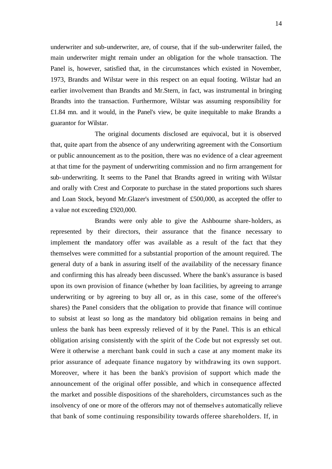underwriter and sub-underwriter, are, of course, that if the sub-underwriter failed, the main underwriter might remain under an obligation for the whole transaction. The Panel is, however, satisfied that, in the circumstances which existed in November, 1973, Brandts and Wilstar were in this respect on an equal footing. Wilstar had an earlier involvement than Brandts and Mr.Stern, in fact, was instrumental in bringing Brandts into the transaction. Furthermore, Wilstar was assuming responsibility for £1.84 mn. and it would, in the Panel's view, be quite inequitable to make Brandts a guarantor for Wilstar.

The original documents disclosed are equivocal, but it is observed that, quite apart from the absence of any underwriting agreement with the Consortium or public announcement as to the position, there was no evidence of a clear agreement at that time for the payment of underwriting commission and no firm arrangement for sub-underwriting. It seems to the Panel that Brandts agreed in writing with Wilstar and orally with Crest and Corporate to purchase in the stated proportions such shares and Loan Stock, beyond Mr.Glazer's investment of £500,000, as accepted the offer to a value not exceeding £920,000.

Brandts were only able to give the Ashbourne share-holders, as represented by their directors, their assurance that the finance necessary to implement the mandatory offer was available as a result of the fact that they themselves were committed for a substantial proportion of the amount required. The general duty of a bank in assuring itself of the availability of the necessary finance and confirming this has already been discussed. Where the bank's assurance is based upon its own provision of finance (whether by loan facilities, by agreeing to arrange underwriting or by agreeing to buy all or, as in this case, some of the offeree's shares) the Panel considers that the obligation to provide that finance will continue to subsist at least so long as the mandatory bid obligation remains in being and unless the bank has been expressly relieved of it by the Panel. This is an ethical obligation arising consistently with the spirit of the Code but not expressly set out. Were it otherwise a merchant bank could in such a case at any moment make its prior assurance of adequate finance nugatory by withdrawing its own support. Moreover, where it has been the bank's provision of support which made the announcement of the original offer possible, and which in consequence affected the market and possible dispositions of the shareholders, circumstances such as the insolvency of one or more of the offerors may not of themselve s automatically relieve that bank of some continuing responsibility towards offeree shareholders. If, in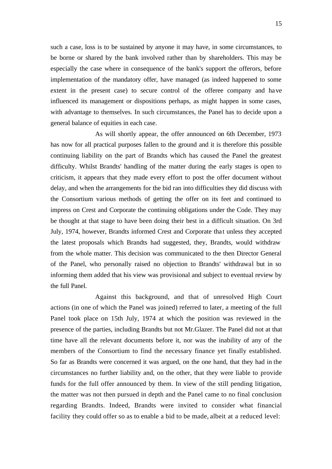such a case, loss is to be sustained by anyone it may have, in some circumstances, to be borne or shared by the bank involved rather than by shareholders. This may be especially the case where in consequence of the bank's support the offerors, before implementation of the mandatory offer, have managed (as indeed happened to some extent in the present case) to secure control of the offeree company and have influenced its management or dispositions perhaps, as might happen in some cases, with advantage to themselves. In such circumstances, the Panel has to decide upon a general balance of equities in each case.

As will shortly appear, the offer announced on 6th December, 1973 has now for all practical purposes fallen to the ground and it is therefore this possible continuing liability on the part of Brandts which has caused the Panel the greatest difficulty. Whilst Brandts' handling of the matter during the early stages is open to criticism, it appears that they made every effort to post the offer document without delay, and when the arrangements for the bid ran into difficulties they did discuss with the Consortium various methods of getting the offer on its feet and continued to impress on Crest and Corporate the continuing obligations under the Code. They may be thought at that stage to have been doing their best in a difficult situation. On 3rd July, 1974, however, Brandts informed Crest and Corporate that unless they accepted the latest proposals which Brandts had suggested, they, Brandts, would withdraw from the whole matter. This decision was communicated to the then Director General of the Panel, who personally raised no objection to Brandts' withdrawal but in so informing them added that his view was provisional and subject to eventual review by the full Panel.

Against this background, and that of unresolved High Court actions (in one of which the Panel was joined) referred to later, a meeting of the full Panel took place on 15th July, 1974 at which the position was reviewed in the presence of the parties, including Brandts but not Mr.Glazer. The Panel did not at that time have all the relevant documents before it, nor was the inability of any of the members of the Consortium to find the necessary finance yet finally established. So far as Brandts were concerned it was argued, on the one hand, that they had in the circumstances no further liability and, on the other, that they were liable to provide funds for the full offer announced by them. In view of the still pending litigation, the matter was not then pursued in depth and the Panel came to no final conclusion regarding Brandts. Indeed, Brandts were invited to consider what financial facility they could offer so as to enable a bid to be made, albeit at a reduced level: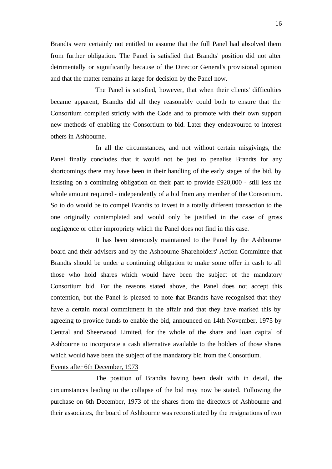Brandts were certainly not entitled to assume that the full Panel had absolved them from further obligation. The Panel is satisfied that Brandts' position did not alter detrimentally or significantly because of the Director General's provisional opinion and that the matter remains at large for decision by the Panel now.

The Panel is satisfied, however, that when their clients' difficulties became apparent, Brandts did all they reasonably could both to ensure that the Consortium complied strictly with the Code and to promote with their own support new methods of enabling the Consortium to bid. Later they endeavoured to interest others in Ashbourne.

In all the circumstances, and not without certain misgivings, the Panel finally concludes that it would not be just to penalise Brandts for any shortcomings there may have been in their handling of the early stages of the bid, by insisting on a continuing obligation on their part to provide £920,000 - still less the whole amount required - independently of a bid from any member of the Consortium. So to do would be to compel Brandts to invest in a totally different transaction to the one originally contemplated and would only be justified in the case of gross negligence or other impropriety which the Panel does not find in this case.

It has been strenously maintained to the Panel by the Ashbourne board and their advisers and by the Ashbourne Shareholders' Action Committee that Brandts should be under a continuing obligation to make some offer in cash to all those who hold shares which would have been the subject of the mandatory Consortium bid. For the reasons stated above, the Panel does not accept this contention, but the Panel is pleased to note that Brandts have recognised that they have a certain moral commitment in the affair and that they have marked this by agreeing to provide funds to enable the bid, announced on 14th November, 1975 by Central and Sheerwood Limited, for the whole of the share and loan capital of Ashbourne to incorporate a cash alternative available to the holders of those shares which would have been the subject of the mandatory bid from the Consortium.

Events after 6th December, 1973

The position of Brandts having been dealt with in detail, the circumstances leading to the collapse of the bid may now be stated. Following the purchase on 6th December, 1973 of the shares from the directors of Ashbourne and their associates, the board of Ashbourne was reconstituted by the resignations of two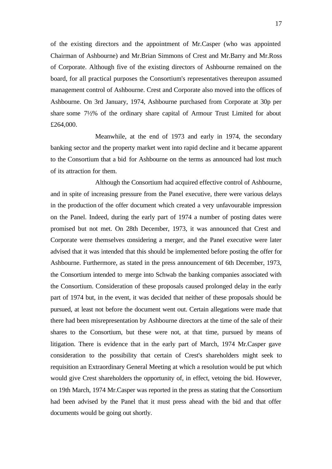of the existing directors and the appointment of Mr.Casper (who was appointed Chairman of Ashbourne) and Mr.Brian Simmons of Crest and Mr.Barry and Mr.Ross of Corporate. Although five of the existing directors of Ashbourne remained on the board, for all practical purposes the Consortium's representatives thereupon assumed management control of Ashbourne. Crest and Corporate also moved into the offices of Ashbourne. On 3rd January, 1974, Ashbourne purchased from Corporate at 30p per share some 7½% of the ordinary share capital of Armour Trust Limited for about £264,000.

Meanwhile, at the end of 1973 and early in 1974, the secondary banking sector and the property market went into rapid decline and it became apparent to the Consortium that a bid for Ashbourne on the terms as announced had lost much of its attraction for them.

Although the Consortium had acquired effective control of Ashbourne, and in spite of increasing pressure from the Panel executive, there were various delays in the production of the offer document which created a very unfavourable impression on the Panel. Indeed, during the early part of 1974 a number of posting dates were promised but not met. On 28th December, 1973, it was announced that Crest and Corporate were themselves considering a merger, and the Panel executive were later advised that it was intended that this should be implemented before posting the offer for Ashbourne. Furthermore, as stated in the press announcement of 6th December, 1973, the Consortium intended to merge into Schwab the banking companies associated with the Consortium. Consideration of these proposals caused prolonged delay in the early part of 1974 but, in the event, it was decided that neither of these proposals should be pursued, at least not before the document went out. Certain allegations were made that there had been misrepresentation by Ashbourne directors at the time of the sale of their shares to the Consortium, but these were not, at that time, pursued by means of litigation. There is evidence that in the early part of March, 1974 Mr.Casper gave consideration to the possibility that certain of Crest's shareholders might seek to requisition an Extraordinary General Meeting at which a resolution would be put which would give Crest shareholders the opportunity of, in effect, vetoing the bid. However, on 19th March, 1974 Mr.Casper was reported in the press as stating that the Consortium had been advised by the Panel that it must press ahead with the bid and that offer documents would be going out shortly.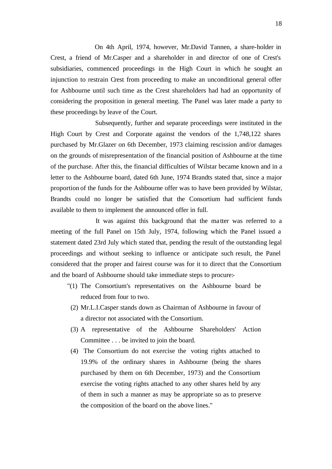On 4th April, 1974, however, Mr.David Tannen, a share-holder in Crest, a friend of Mr.Casper and a shareholder in and director of one of Crest's subsidiaries, commenced proceedings in the High Court in which he sought an injunction to restrain Crest from proceeding to make an unconditional general offer for Ashbourne until such time as the Crest shareholders had had an opportunity of considering the proposition in general meeting. The Panel was later made a party to these proceedings by leave of the Court.

Subsequently, further and separate proceedings were instituted in the High Court by Crest and Corporate against the vendors of the 1,748,122 shares purchased by Mr.Glazer on 6th December, 1973 claiming rescission and/or damages on the grounds of misrepresentation of the financial position of Ashbourne at the time of the purchase. After this, the financial difficulties of Wilstar became known and in a letter to the Ashbourne board, dated 6th June, 1974 Brandts stated that, since a major proportion of the funds for the Ashbourne offer was to have been provided by Wilstar, Brandts could no longer be satisfied that the Consortium had sufficient funds available to them to implement the announced offer in full.

It was against this background that the ma tter was referred to a meeting of the full Panel on 15th July, 1974, following which the Panel issued a statement dated 23rd July which stated that, pending the result of the outstanding legal proceedings and without seeking to influence or anticipate such result, the Panel considered that the proper and fairest course was for it to direct that the Consortium and the board of Ashbourne should take immediate steps to procure:-

- "(1) The Consortium's representatives on the Ashbourne board be reduced from four to two.
- (2) Mr.L.I.Casper stands down as Chairman of Ashbourne in favour of a director not associated with the Consortium.
- (3) A representative of the Ashbourne Shareholders' Action Committee . . . be invited to join the board.
- (4) The Consortium do not exercise the voting rights attached to 19.9% of the ordinary shares in Ashbourne (being the shares purchased by them on 6th December, 1973) and the Consortium exercise the voting rights attached to any other shares held by any of them in such a manner as may be appropriate so as to preserve the composition of the board on the above lines."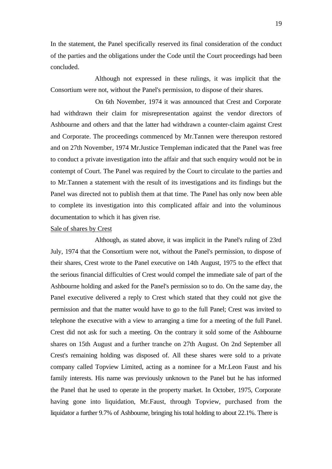In the statement, the Panel specifically reserved its final consideration of the conduct of the parties and the obligations under the Code until the Court proceedings had been concluded.

Although not expressed in these rulings, it was implicit that the Consortium were not, without the Panel's permission, to dispose of their shares.

On 6th November, 1974 it was announced that Crest and Corporate had withdrawn their claim for misrepresentation against the vendor directors of Ashbourne and others and that the latter had withdrawn a counter-claim against Crest and Corporate. The proceedings commenced by Mr.Tannen were thereupon restored and on 27th November, 1974 Mr.Justice Templeman indicated that the Panel was free to conduct a private investigation into the affair and that such enquiry would not be in contempt of Court. The Panel was required by the Court to circulate to the parties and to Mr.Tannen a statement with the result of its investigations and its findings but the Panel was directed not to publish them at that time. The Panel has only now been able to complete its investigation into this complicated affair and into the voluminous documentation to which it has given rise.

### Sale of shares by Crest

Although, as stated above, it was implicit in the Panel's ruling of 23rd July, 1974 that the Consortium were not, without the Panel's permission, to dispose of their shares, Crest wrote to the Panel executive on 14th August, 1975 to the effect that the serious financial difficulties of Crest would compel the immediate sale of part of the Ashbourne holding and asked for the Panel's permission so to do. On the same day, the Panel executive delivered a reply to Crest which stated that they could not give the permission and that the matter would have to go to the full Panel; Crest was invited to telephone the executive with a view to arranging a time for a meeting of the full Panel. Crest did not ask for such a meeting. On the contrary it sold some of the Ashbourne shares on 15th August and a further tranche on 27th August. On 2nd September all Crest's remaining holding was disposed of. All these shares were sold to a private company called Topview Limited, acting as a nominee for a Mr.Leon Faust and his family interests. His name was previously unknown to the Panel but he has informed the Panel that he used to operate in the property market. In October, 1975, Corporate having gone into liquidation, Mr.Faust, through Topview, purchased from the liquidator a further 9.7% of Ashbourne, bringing his total holding to about 22.1%. There is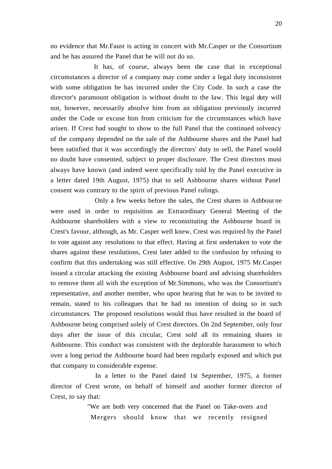no evidence that Mr.Faust is acting in concert with Mr.Casper or the Consortium and he has assured the Panel that he will not do so.

It has, of course, always been the case that in exceptional circumstances a director of a company may come under a legal duty inconsistent with some obligation he has incurred under the City Code. In such a case the director's paramount obligation is without doubt to the law. This legal duty will not, however, necessarily absolve him from an obligation previously incurred under the Code or excuse him from criticism for the circumstances which have arisen. If Crest had sought to show to the full Panel that the continued solvency of the company depended on the sale of the Ashbourne shares and the Panel had been satisfied that it was accordingly the directors' duty to sell, the Panel would no doubt have consented, subject to proper disclosure. The Crest directors must always have known (and indeed were specifically told by the Panel executive in a letter dated 19th August, 1975) that to sell Ashbourne shares without Panel consent was contrary to the spirit of previous Panel rulings.

Only a few weeks before the sales, the Crest shares in Ashbour ne were used in order to requisition an Extraordinary General Meeting of the Ashbourne shareholders with a view to reconstituting the Ashbourne board in Crest's favour, although, as Mr. Casper well knew, Crest was required by the Panel to vote against any resolutions to that effect. Having at first undertaken to vote the shares against these resolutions, Crest later added to the confusion by refusing to confirm that this undertaking was still effective. On 29th August, 1975 Mr.Casper issued a circular attacking the existing Ashbourne board and advising shareholders to remove them all with the exception of Mr.Simmons, who was the Consortium's representative, and another member, who upon hearing that he was to be invited to remain, stated to his colleagues that he had no intention of doing so in such circumstances. The proposed resolutions would thus have resulted in the board of Ashbourne being comprised solely of Crest directors. On 2nd September, only four days after the issue of this circular, Crest sold all its remaining shares in Ashbourne. This conduct was consistent with the deplorable harassment to which over a long period the Ashbourne board had been regularly exposed and which put that company to considerable expense.

In a letter to the Panel dated 1st September, 1975, a former director of Crest wrote, on behalf of himself and another former director of Crest, to say that:

> "We are both very concerned that the Panel on Take-overs and Mergers should know that we recently resigned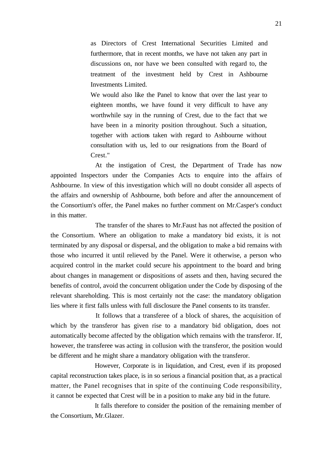as Directors of Crest International Securities Limited and furthermore, that in recent months, we have not taken any part in discussions on, nor have we been consulted with regard to, the treatment of the investment held by Crest in Ashbourne Investments Limited.

We would also like the Panel to know that over the last year to eighteen months, we have found it very difficult to have any worthwhile say in the running of Crest, due to the fact that we have been in a minority position throughout. Such a situation, together with actions taken with regard to Ashbourne without consultation with us, led to our resignations from the Board of Crest."

At the instigation of Crest, the Department of Trade has now appointed Inspectors under the Companies Acts to enquire into the affairs of Ashbourne. In view of this investigation which will no doubt consider all aspects of the affairs and ownership of Ashbourne, both before and after the announcement of the Consortium's offer, the Panel makes no further comment on Mr.Casper's conduct in this matter.

The transfer of the shares to Mr.Faust has not affected the position of the Consortium. Where an obligation to make a mandatory bid exists, it is not terminated by any disposal or dispersal, and the obligation to make a bid remains with those who incurred it until relieved by the Panel. Were it otherwise, a person who acquired control in the market could secure his appointment to the board and bring about changes in management or dispositions of assets and then, having secured the benefits of control, avoid the concurrent obligation under the Code by disposing of the relevant shareholding. This is most certainly not the case: the mandatory obligation lies where it first falls unless with full disclosure the Panel consents to its transfer.

It follows that a transferee of a block of shares, the acquisition of which by the transferor has given rise to a mandatory bid obligation, does not automatically become affected by the obligation which remains with the transferor. If, however, the transferee was acting in collusion with the transferor, the position would be different and he might share a mandatory obligation with the transferor.

However, Corporate is in liquidation, and Crest, even if its proposed capital reconstruction takes place, is in so serious a financial position that, as a practical matter, the Panel recognises that in spite of the continuing Code responsibility, it cannot be expected that Crest will be in a position to make any bid in the future.

It falls therefore to consider the position of the remaining member of the Consortium, Mr.Glazer.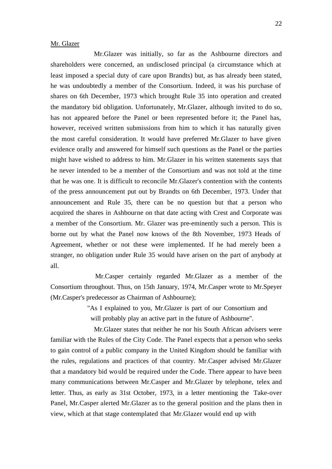#### Mr. Glazer

Mr.Glazer was initially, so far as the Ashbourne directors and shareholders were concerned, an undisclosed principal (a circumstance which at least imposed a special duty of care upon Brandts) but, as has already been stated, he was undoubtedly a member of the Consortium. Indeed, it was his purchase of shares on 6th December, 1973 which brought Rule 35 into operation and created the mandatory bid obligation. Unfortunately, Mr.Glazer, although invited to do so, has not appeared before the Panel or been represented before it; the Panel has, however, received written submissions from him to which it has naturally given the most careful consideration. It would have preferred Mr.Glazer to have given evidence orally and answered for himself such questions as the Panel or the parties might have wished to address to him. Mr.Glazer in his written statements says that he never intended to be a member of the Consortium and was not told at the time that he was one. It is difficult to reconcile Mr.Glazer's contention with the contents of the press announcement put out by Brandts on 6th December, 1973. Under that announcement and Rule 35, there can be no question but that a person who acquired the shares in Ashbourne on that date acting with Crest and Corporate was a member of the Consortium. Mr. Glazer was pre-eminently such a person. This is borne out by what the Panel now knows of the 8th November, 1973 Heads of Agreement, whether or not these were implemented. If he had merely been a stranger, no obligation under Rule 35 would have arisen on the part of anybody at all.

Mr.Casper certainly regarded Mr.Glazer as a member of the Consortium throughout. Thus, on 15th January, 1974, Mr.Casper wrote to Mr.Speyer (Mr.Casper's predecessor as Chairman of Ashbourne);

> "As I explained to you, Mr.Glazer is part of our Consortium and will probably play an active part in the future of Ashbourne".

Mr.Glazer states that neither he nor his South African advisers were familiar with the Rules of the City Code. The Panel expects that a person who seeks to gain control of a public company in the United Kingdom should be familiar with the rules, regulations and practices of that country. Mr.Casper advised Mr.Glazer that a mandatory bid wo uld be required under the Code. There appear to have been many communications between Mr.Casper and Mr.Glazer by telephone, telex and letter. Thus, as early as 31st October, 1973, in a letter mentioning the Take-over Panel, Mr.Casper alerted Mr.Glazer as to the general position and the plans then in view, which at that stage contemplated that Mr.Glazer would end up with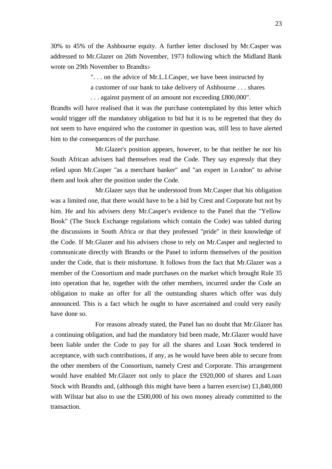30% to 45% of the Ashbourne equity. A further letter disclosed by Mr.Casper was addressed to Mr.Glazer on 26th November, 1973 following which the Midland Bank wrote on 29th November to Brandts:-

> ". . . on the advice of Mr.L.I.Casper, we have been instructed by a customer of our bank to take delivery of Ashbourne . . . shares . . . against payment of an amount not exceeding £800,000".

Brandts will have realised that it was the purchase contemplated by this letter which would trigger off the mandatory obligation to bid but it is to be regretted that they do not seem to have enquired who the customer in question was, still less to have alerted him to the consequences of the purchase.

Mr.Glazer's position appears, however, to be that neither he nor his South African advisers had themselves read the Code. They say expressly that they relied upon Mr.Casper "as a merchant banker" and "an expert in London" to advise them and look after the position under the Code.

Mr.Glazer says that he understood from Mr.Casper that his obligation was a limited one, that there would have to be a bid by Crest and Corporate but not by him. He and his advisers deny Mr.Casper's evidence to the Panel that the "Yellow Book" (The Stock Exchange regulations which contain the Code) was tabled during the discussions in South Africa or that they professed "pride" in their knowledge of the Code. If Mr.Glazer and his advisers chose to rely on Mr.Casper and neglected to communicate directly with Brandts or the Panel to inform themselves of the position under the Code, that is their misfortune. It follows from the fact that Mr.Glazer was a member of the Consortium and made purchases on the market which brought Rule 35 into operation that he, together with the other members, incurred under the Code an obligation to make an offer for all the outstanding shares which offer was duly announced. This is a fact which he ought to have ascertained and could very easily have done so.

For reasons already stated, the Panel has no doubt that Mr.Glazer has a continuing obligation, and had the mandatory bid been made, Mr.Glazer would have been liable under the Code to pay for all the shares and Loan Stock tendered in acceptance, with such contributions, if any, as he would have been able to secure from the other members of the Consortium, namely Crest and Corporate. This arrangement would have enabled Mr.Glazer not only to place the £920,000 of shares and Loan Stock with Brandts and, (although this might have been a barren exercise) £1,840,000 with Wilstar but also to use the £500,000 of his own money already committed to the transaction.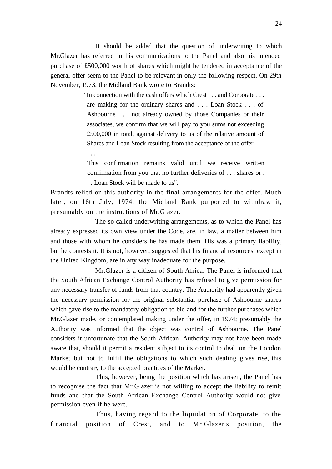It should be added that the question of underwriting to which Mr.Glazer has referred in his communications to the Panel and also his intended purchase of £500,000 worth of shares which might be tendered in acceptance of the general offer seem to the Panel to be relevant in only the following respect. On 29th November, 1973, the Midland Bank wrote to Brandts:

> "In connection with the cash offers which Crest . . . and Corporate . . . are making for the ordinary shares and . . . Loan Stock . . . of Ashbourne . . . not already owned by those Companies or their associates, we confirm that we will pay to you sums not exceeding £500,000 in total, against delivery to us of the relative amount of Shares and Loan Stock resulting from the acceptance of the offer.

This confirmation remains valid until we receive written confirmation from you that no further deliveries of . . . shares or . . . Loan Stock will be made to us".

Brandts relied on this authority in the final arrangements for the offer. Much later, on 16th July, 1974, the Midland Bank purported to withdraw it, presumably on the instructions of Mr.Glazer.

. . .

The so-called underwriting arrangements, as to which the Panel has already expressed its own view under the Code, are, in law, a matter between him and those with whom he considers he has made them. His was a primary liability, but he contests it. It is not, however, suggested that his financial resources, except in the United Kingdom, are in any way inadequate for the purpose.

Mr.Glazer is a citizen of South Africa. The Panel is informed that the South African Exchange Control Authority has refused to give permission for any necessary transfer of funds from that country. The Authority had apparently given the necessary permission for the original substantial purchase of Ashbourne shares which gave rise to the mandatory obligation to bid and for the further purchases which Mr.Glazer made, or contemplated making under the offer, in 1974; presumably the Authority was informed that the object was control of Ashbourne. The Panel considers it unfortunate that the South African Authority may not have been made aware that, should it permit a resident subject to its control to deal on the London Market but not to fulfil the obligations to which such dealing gives rise, this would be contrary to the accepted practices of the Market.

This, however, being the position which has arisen, the Panel has to recognise the fact that Mr.Glazer is not willing to accept the liability to remit funds and that the South African Exchange Control Authority would not give permission even if he were.

Thus, having regard to the liquidation of Corporate, to the financial position of Crest, and to Mr.Glazer's position, the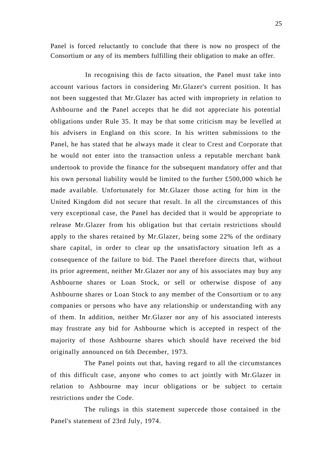Panel is forced reluctantly to conclude that there is now no prospect of the Consortium or any of its members fulfilling their obligation to make an offer.

In recognising this de facto situation, the Panel must take into account various factors in considering Mr.Glazer's current position. It has not been suggested that Mr.Glazer has acted with impropriety in relation to Ashbourne and the Panel accepts that he did not appreciate his potential obligations under Rule 35. It may be that some criticism may be levelled at his advisers in England on this score. In his written submissions to the Panel, he has stated that he always made it clear to Crest and Corporate that he would not enter into the transaction unless a reputable merchant bank undertook to provide the finance for the subsequent mandatory offer and that his own personal liability would be limited to the further £500,000 which he made available. Unfortunately for Mr.Glazer those acting for him in the United Kingdom did not secure that result. In all the circumstances of this very exceptional case, the Panel has decided that it would be appropriate to release Mr.Glazer from his obligation but that certain restrictions should apply to the shares retained by Mr.Glazer, being some 22% of the ordinary share capital, in order to clear up the unsatisfactory situation left as a consequence of the failure to bid. The Panel therefore directs that, without its prior agreement, neither Mr.Glazer nor any of his associates may buy any Ashbourne shares or Loan Stock, or sell or otherwise dispose of any Ashbourne shares or Loan Stock to any member of the Consortium or to any companies or persons who have any relationship or understanding with any of them. In addition, neither Mr.Glazer nor any of his associated interests may frustrate any bid for Ashbourne which is accepted in respect of the majority of those Ashbourne shares which should have received the bid originally announced on 6th December, 1973.

The Panel points out that, having regard to all the circumstances of this difficult case, anyone who comes to act jointly with Mr.Glazer in relation to Ashbourne may incur obligations or be subject to certain restrictions under the Code.

The rulings in this statement supercede those contained in the Panel's statement of 23rd July, 1974.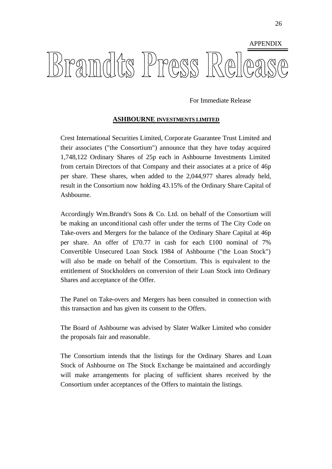

For Immediate Release

### **ASHBOURNE INVESTMENTS LIMITED**

Crest International Securities Limited, Corporate Guarantee Trust Limited and their associates ("the Consortium") announce that they have today acquired 1,748,122 Ordinary Shares of 25p each in Ashbourne Investments Limited from certain Directors of that Company and their associates at a price of 46p per share. These shares, when added to the 2,044,977 shares already held, result in the Consortium now holding 43.15% of the Ordinary Share Capital of Ashbourne.

Accordingly Wm.Brandt's Sons & Co. Ltd. on behalf of the Consortium will be making an unconditional cash offer under the terms of The City Code on Take-overs and Mergers for the balance of the Ordinary Share Capital at 46p per share. An offer of £70.77 in cash for each £100 nominal of 7% Convertible Unsecured Loan Stock 1984 of Ashbourne ("the Loan Stock") will also be made on behalf of the Consortium. This is equivalent to the entitlement of Stockholders on conversion of their Loan Stock into Ordinary Shares and acceptance of the Offer.

The Panel on Take-overs and Mergers has been consulted in connection with this transaction and has given its consent to the Offers.

The Board of Ashbourne was advised by Slater Walker Limited who consider the proposals fair and reasonable.

The Consortium intends that the listings for the Ordinary Shares and Loan Stock of Ashbourne on The Stock Exchange be maintained and accordingly will make arrangements for placing of sufficient shares received by the Consortium under acceptances of the Offers to maintain the listings.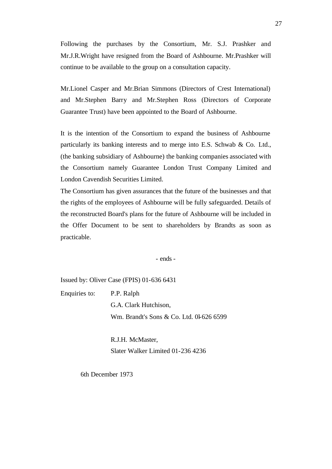Following the purchases by the Consortium, Mr. S.J. Prashker and Mr.J.R.Wright have resigned from the Board of Ashbourne. Mr.Prashker will continue to be available to the group on a consultation capacity.

Mr.Lionel Casper and Mr.Brian Simmons (Directors of Crest International) and Mr.Stephen Barry and Mr.Stephen Ross (Directors of Corporate Guarantee Trust) have been appointed to the Board of Ashbourne.

It is the intention of the Consortium to expand the business of Ashbourne particularly its banking interests and to merge into E.S. Schwab & Co. Ltd., (the banking subsidiary of Ashbourne) the banking companies associated with the Consortium namely Guarantee London Trust Company Limited and London Cavendish Securities Limited.

The Consortium has given assurances that the future of the businesses and that the rights of the employees of Ashbourne will be fully safeguarded. Details of the reconstructed Board's plans for the future of Ashbourne will be included in the Offer Document to be sent to shareholders by Brandts as soon as practicable.

- ends -

Issued by: Oliver Case (FPIS) 01-636 6431

Enquiries to: P.P. Ralph G.A. Clark Hutchison, Wm. Brandt's Sons & Co. Ltd. 0l-626 6599

> R.J.H. McMaster, Slater Walker Limited 01-236 4236

6th December 1973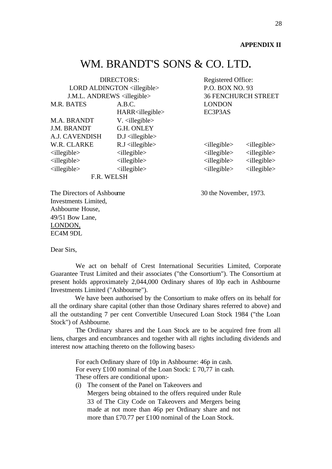#### **APPENDIX II**

# WM. BRANDT'S SONS & CO. LTD.

| <b>DIRECTORS:</b>                      |                                     | Registered Office:         |                               |
|----------------------------------------|-------------------------------------|----------------------------|-------------------------------|
| LORD ALDINGTON <illegible></illegible> |                                     | P.O. BOX NO. 93            |                               |
| J.M.L. ANDREWS <illegible></illegible> |                                     | <b>36 FENCHURCH STREET</b> |                               |
| M.R. BATES                             | A.B.C.                              | <b>LONDON</b>              |                               |
|                                        | HARR <illegible></illegible>        | EC3P3AS                    |                               |
| M.A. BRANDT                            | $V.$ $\langle$ illegible $\rangle$  |                            |                               |
| <b>J.M. BRANDT</b>                     | G.H. ONLEY                          |                            |                               |
| A.J. CAVENDISH                         | $D.J$ $\langle$ illegible $\rangle$ |                            |                               |
| W.R. CLARKE                            | $R.J$ $\langle$ illegible $\rangle$ | $\le$ illegible $>$        | $\le$ illegible $>$           |
| $\le$ illegible $>$                    | $\le$ illegible $>$                 | $\le$ illegible $>$        | $\langle$ illegible $\rangle$ |
| $\le$ illegible $>$                    | $\le$ illegible $>$                 | $\le$ illegible $>$        | $\le$ illegible $>$           |
| $\le$ illegible $>$                    | $\le$ illegible $>$                 | $\le$ illegible $>$        | $\le$ illegible $>$           |
| F.R. WELSH                             |                                     |                            |                               |

The Directors of Ashbourne 30 the November, 1973. Investments Limited, Ashbourne House, 49/51 Bow Lane, LONDON, EC4M 9DL

Dear Sirs,

We act on behalf of Crest International Securities Limited, Corporate Guarantee Trust Limited and their associates ("the Consortium"). The Consortium at present holds approximately 2,044,000 Ordinary shares of l0p each in Ashbourne Investments Limited ("Ashbourne").

We have been authorised by the Consortium to make offers on its behalf for all the ordinary share capital (other than those Ordinary shares referred to above) and all the outstanding 7 per cent Convertible Unsecured Loan Stock 1984 ("the Loan Stock") of Ashbourne.

The Ordinary shares and the Loan Stock are to be acquired free from all liens, charges and encumbrances and together with all rights including dividends and interest now attaching thereto on the following bases:-

> For each Ordinary share of 10p in Ashbourne: 46p in cash. For every £100 nominal of the Loan Stock: £ 70,77 in cash. These offers are conditional upon:-

(i) The consent of the Panel on Takeovers and Mergers being obtained to the offers required under Rule 33 of The City Code on Takeovers and Mergers being made at not more than 46p per Ordinary share and not more than £70.77 per £100 nominal of the Loan Stock.